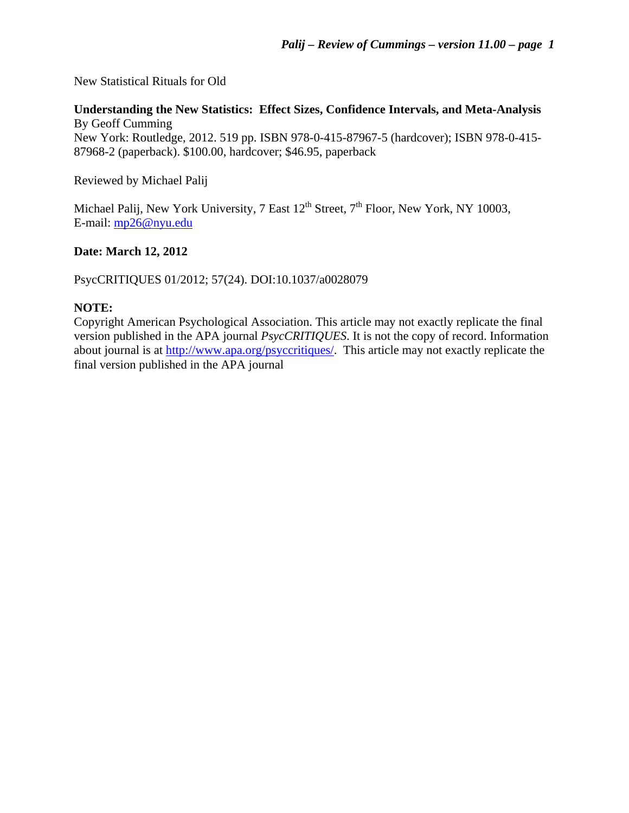New Statistical Rituals for Old

# **Understanding the New Statistics: Effect Sizes, Confidence Intervals, and Meta-Analysis**  By Geoff Cumming

New York: Routledge, 2012. 519 pp. ISBN 978-0-415-87967-5 (hardcover); ISBN 978-0-415- 87968-2 (paperback). \$100.00, hardcover; \$46.95, paperback

Reviewed by Michael Palij

Michael Palij, New York University, 7 East  $12^{th}$  Street,  $7^{th}$  Floor, New York, NY 10003, E-mail: [mp26@nyu.edu](mailto:mp26@nyu.edu)

# **Date: March 12, 2012**

PsycCRITIQUES 01/2012; 57(24). DOI:10.1037/a0028079

## **NOTE:**

Copyright American Psychological Association. This article may not exactly replicate the final version published in the APA journal *PsycCRITIQUES*. It is not the copy of record. Information about journal is at <http://www.apa.org/psyccritiques/>. This article may not exactly replicate the final version published in the APA journal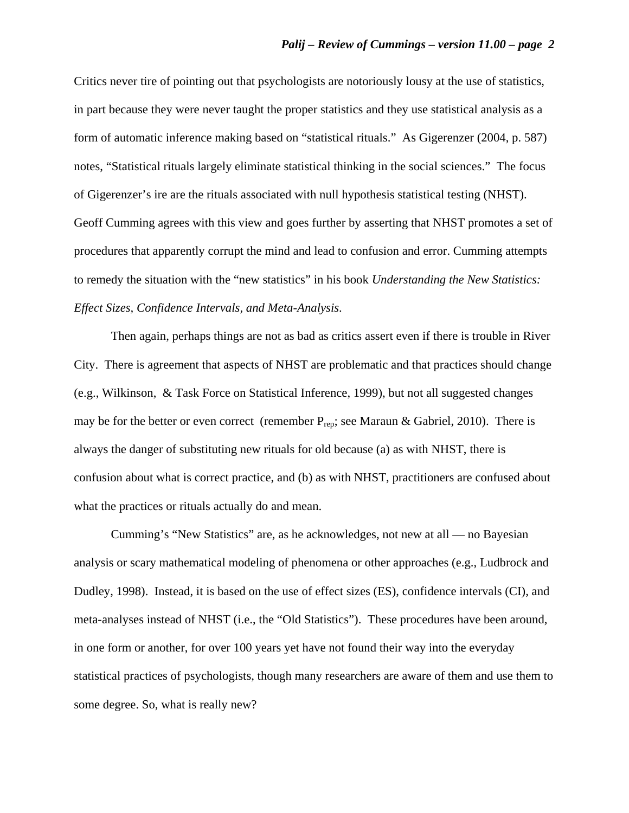Critics never tire of pointing out that psychologists are notoriously lousy at the use of statistics, in part because they were never taught the proper statistics and they use statistical analysis as a form of automatic inference making based on "statistical rituals." As Gigerenzer (2004, p. 587) notes, "Statistical rituals largely eliminate statistical thinking in the social sciences." The focus of Gigerenzer's ire are the rituals associated with null hypothesis statistical testing (NHST). Geoff Cumming agrees with this view and goes further by asserting that NHST promotes a set of procedures that apparently corrupt the mind and lead to confusion and error. Cumming attempts to remedy the situation with the "new statistics" in his book *Understanding the New Statistics: Effect Sizes, Confidence Intervals, and Meta-Analysis*.

Then again, perhaps things are not as bad as critics assert even if there is trouble in River City. There is agreement that aspects of NHST are problematic and that practices should change (e.g., Wilkinson, & Task Force on Statistical Inference, 1999), but not all suggested changes may be for the better or even correct (remember  $P_{\text{rep}}$ ; see Maraun & Gabriel, 2010). There is always the danger of substituting new rituals for old because (a) as with NHST, there is confusion about what is correct practice, and (b) as with NHST, practitioners are confused about what the practices or rituals actually do and mean.

Cumming's "New Statistics" are, as he acknowledges, not new at all — no Bayesian analysis or scary mathematical modeling of phenomena or other approaches (e.g., Ludbrock and Dudley, 1998). Instead, it is based on the use of effect sizes (ES), confidence intervals (CI), and meta-analyses instead of NHST (i.e., the "Old Statistics"). These procedures have been around, in one form or another, for over 100 years yet have not found their way into the everyday statistical practices of psychologists, though many researchers are aware of them and use them to some degree. So, what is really new?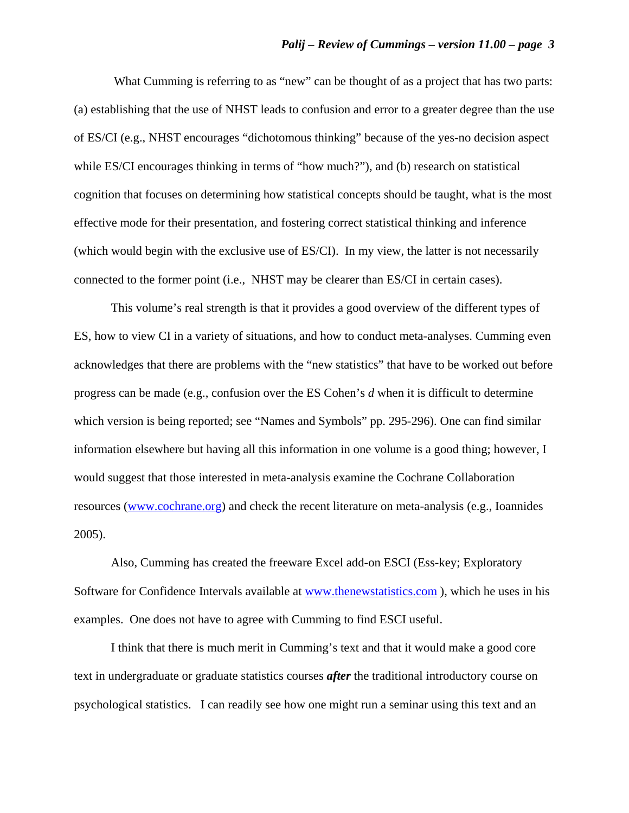What Cumming is referring to as "new" can be thought of as a project that has two parts: (a) establishing that the use of NHST leads to confusion and error to a greater degree than the use of ES/CI (e.g., NHST encourages "dichotomous thinking" because of the yes-no decision aspect while ES/CI encourages thinking in terms of "how much?"), and (b) research on statistical cognition that focuses on determining how statistical concepts should be taught, what is the most effective mode for their presentation, and fostering correct statistical thinking and inference (which would begin with the exclusive use of ES/CI). In my view, the latter is not necessarily connected to the former point (i.e., NHST may be clearer than ES/CI in certain cases).

This volume's real strength is that it provides a good overview of the different types of ES, how to view CI in a variety of situations, and how to conduct meta-analyses. Cumming even acknowledges that there are problems with the "new statistics" that have to be worked out before progress can be made (e.g., confusion over the ES Cohen's *d* when it is difficult to determine which version is being reported; see "Names and Symbols" pp. 295-296). One can find similar information elsewhere but having all this information in one volume is a good thing; however, I would suggest that those interested in meta-analysis examine the Cochrane Collaboration resources [\(www.cochrane.org\)](http://www.cochrane.org/) and check the recent literature on meta-analysis (e.g., Ioannides 2005).

Also, Cumming has created the freeware Excel add-on ESCI (Ess-key; Exploratory Software for Confidence Intervals available at www.thenewstatistics.com), which he uses in his examples. One does not have to agree with Cumming to find ESCI useful.

I think that there is much merit in Cumming's text and that it would make a good core text in undergraduate or graduate statistics courses *after* the traditional introductory course on psychological statistics. I can readily see how one might run a seminar using this text and an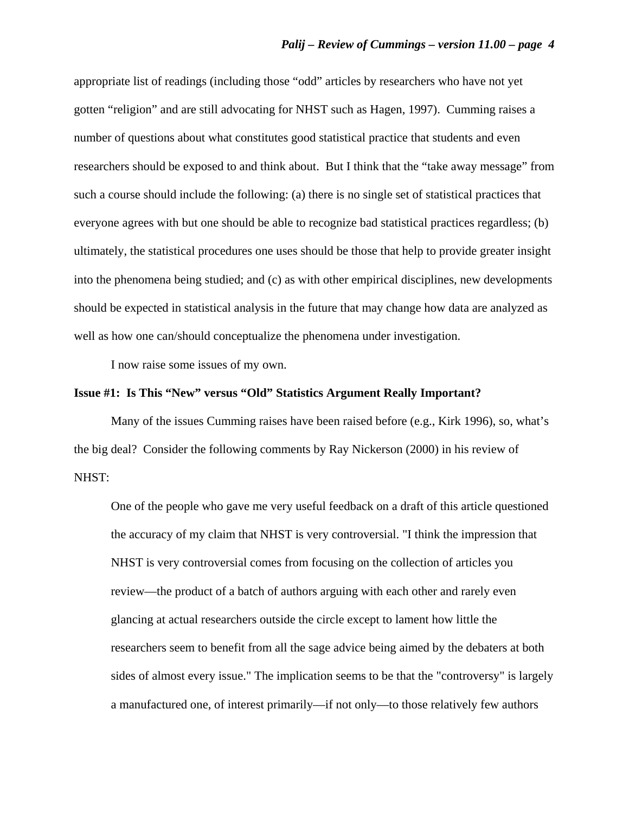appropriate list of readings (including those "odd" articles by researchers who have not yet gotten "religion" and are still advocating for NHST such as Hagen, 1997). Cumming raises a number of questions about what constitutes good statistical practice that students and even researchers should be exposed to and think about. But I think that the "take away message" from such a course should include the following: (a) there is no single set of statistical practices that everyone agrees with but one should be able to recognize bad statistical practices regardless; (b) ultimately, the statistical procedures one uses should be those that help to provide greater insight into the phenomena being studied; and (c) as with other empirical disciplines, new developments should be expected in statistical analysis in the future that may change how data are analyzed as well as how one can/should conceptualize the phenomena under investigation.

I now raise some issues of my own.

### **Issue #1: Is This "New" versus "Old" Statistics Argument Really Important?**

Many of the issues Cumming raises have been raised before (e.g., Kirk 1996), so, what's the big deal? Consider the following comments by Ray Nickerson (2000) in his review of NHST:

One of the people who gave me very useful feedback on a draft of this article questioned the accuracy of my claim that NHST is very controversial. "I think the impression that NHST is very controversial comes from focusing on the collection of articles you review—the product of a batch of authors arguing with each other and rarely even glancing at actual researchers outside the circle except to lament how little the researchers seem to benefit from all the sage advice being aimed by the debaters at both sides of almost every issue." The implication seems to be that the "controversy" is largely a manufactured one, of interest primarily—if not only—to those relatively few authors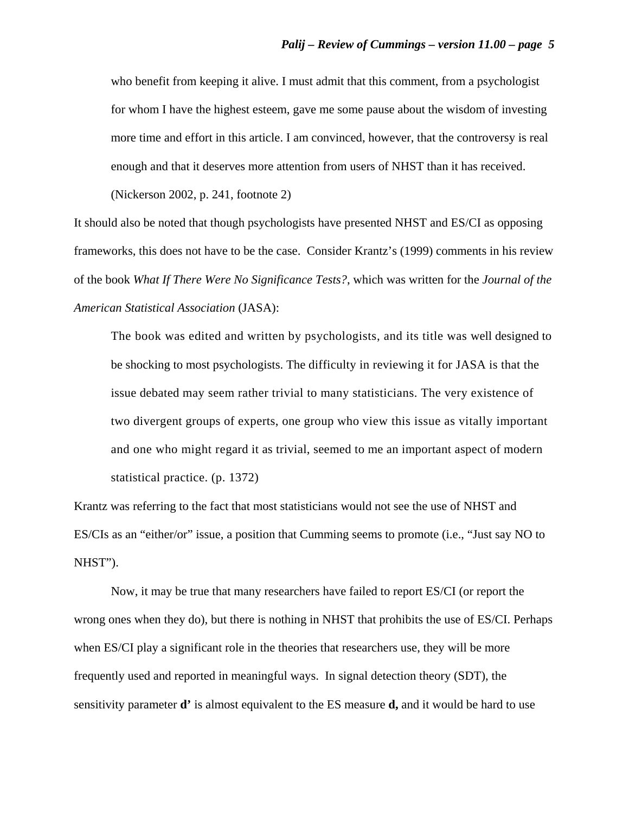who benefit from keeping it alive. I must admit that this comment, from a psychologist for whom I have the highest esteem, gave me some pause about the wisdom of investing more time and effort in this article. I am convinced, however, that the controversy is real enough and that it deserves more attention from users of NHST than it has received.

(Nickerson 2002, p. 241, footnote 2)

It should also be noted that though psychologists have presented NHST and ES/CI as opposing frameworks, this does not have to be the case. Consider Krantz's (1999) comments in his review of the book *What If There Were No Significance Tests?*, which was written for the *Journal of the American Statistical Association* (JASA):

The book was edited and written by psychologists, and its title was well designed to be shocking to most psychologists. The difficulty in reviewing it for JASA is that the issue debated may seem rather trivial to many statisticians. The very existence of two divergent groups of experts, one group who view this issue as vitally important and one who might regard it as trivial, seemed to me an important aspect of modern statistical practice. (p. 1372)

Krantz was referring to the fact that most statisticians would not see the use of NHST and ES/CIs as an "either/or" issue, a position that Cumming seems to promote (i.e., "Just say NO to NHST").

Now, it may be true that many researchers have failed to report ES/CI (or report the wrong ones when they do), but there is nothing in NHST that prohibits the use of ES/CI. Perhaps when ES/CI play a significant role in the theories that researchers use, they will be more frequently used and reported in meaningful ways. In signal detection theory (SDT), the sensitivity parameter **d'** is almost equivalent to the ES measure **d,** and it would be hard to use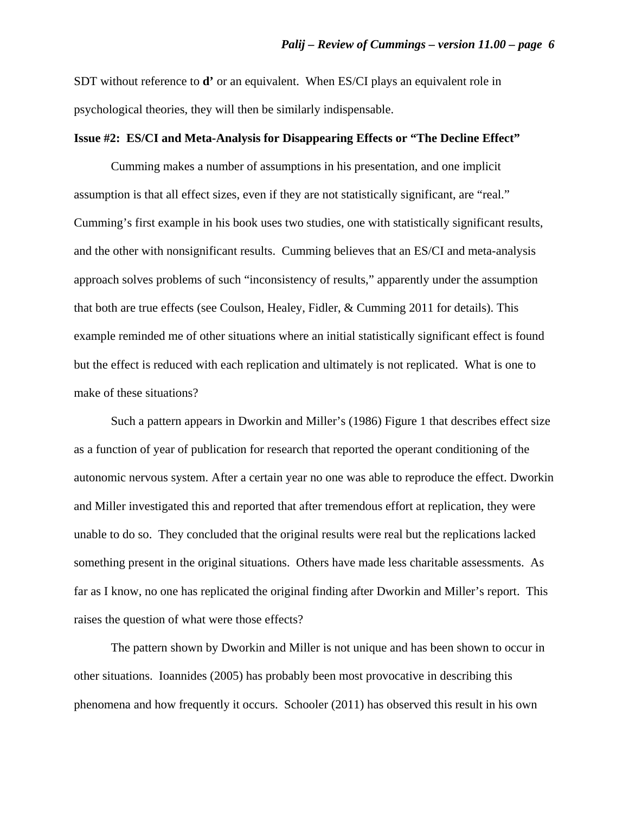SDT without reference to **d'** or an equivalent. When ES/CI plays an equivalent role in psychological theories, they will then be similarly indispensable.

### **Issue #2: ES/CI and Meta-Analysis for Disappearing Effects or "The Decline Effect"**

Cumming makes a number of assumptions in his presentation, and one implicit assumption is that all effect sizes, even if they are not statistically significant, are "real." Cumming's first example in his book uses two studies, one with statistically significant results, and the other with nonsignificant results. Cumming believes that an ES/CI and meta-analysis approach solves problems of such "inconsistency of results," apparently under the assumption that both are true effects (see Coulson, Healey, Fidler, & Cumming 2011 for details). This example reminded me of other situations where an initial statistically significant effect is found but the effect is reduced with each replication and ultimately is not replicated. What is one to make of these situations?

Such a pattern appears in Dworkin and Miller's (1986) Figure 1 that describes effect size as a function of year of publication for research that reported the operant conditioning of the autonomic nervous system. After a certain year no one was able to reproduce the effect. Dworkin and Miller investigated this and reported that after tremendous effort at replication, they were unable to do so. They concluded that the original results were real but the replications lacked something present in the original situations. Others have made less charitable assessments. As far as I know, no one has replicated the original finding after Dworkin and Miller's report. This raises the question of what were those effects?

The pattern shown by Dworkin and Miller is not unique and has been shown to occur in other situations. Ioannides (2005) has probably been most provocative in describing this phenomena and how frequently it occurs. Schooler (2011) has observed this result in his own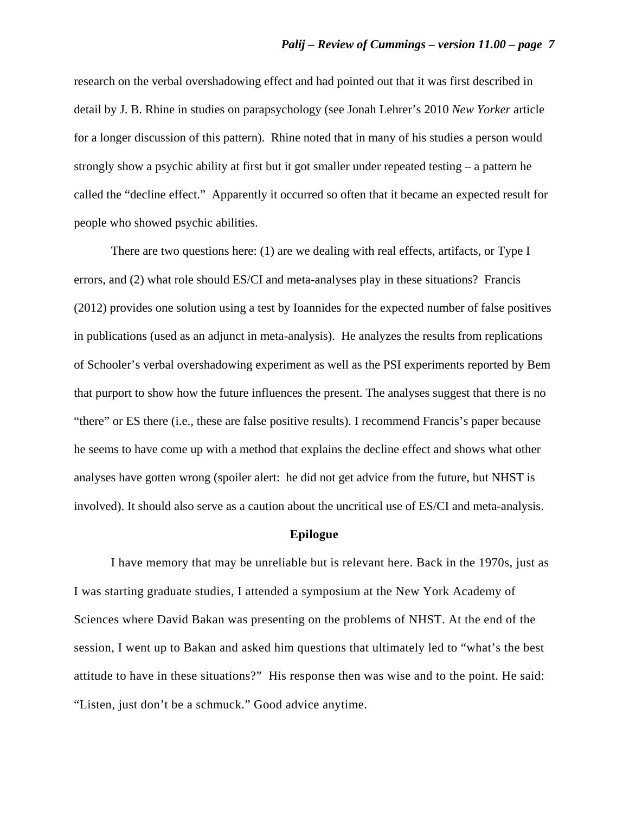research on the verbal overshadowing effect and had pointed out that it was first described in detail by J. B. Rhine in studies on parapsychology (see Jonah Lehrer's 2010 *New Yorker* article for a longer discussion of this pattern). Rhine noted that in many of his studies a person would strongly show a psychic ability at first but it got smaller under repeated testing – a pattern he called the "decline effect." Apparently it occurred so often that it became an expected result for people who showed psychic abilities.

There are two questions here: (1) are we dealing with real effects, artifacts, or Type I errors, and (2) what role should ES/CI and meta-analyses play in these situations? Francis (2012) provides one solution using a test by Ioannides for the expected number of false positives in publications (used as an adjunct in meta-analysis). He analyzes the results from replications of Schooler's verbal overshadowing experiment as well as the PSI experiments reported by Bem that purport to show how the future influences the present. The analyses suggest that there is no "there" or ES there (i.e., these are false positive results). I recommend Francis's paper because he seems to have come up with a method that explains the decline effect and shows what other analyses have gotten wrong (spoiler alert: he did not get advice from the future, but NHST is involved). It should also serve as a caution about the uncritical use of ES/CI and meta-analysis.

#### **Epilogue**

I have memory that may be unreliable but is relevant here. Back in the 1970s, just as I was starting graduate studies, I attended a symposium at the New York Academy of Sciences where David Bakan was presenting on the problems of NHST. At the end of the session, I went up to Bakan and asked him questions that ultimately led to "what's the best attitude to have in these situations?" His response then was wise and to the point. He said: "Listen, just don't be a schmuck." Good advice anytime.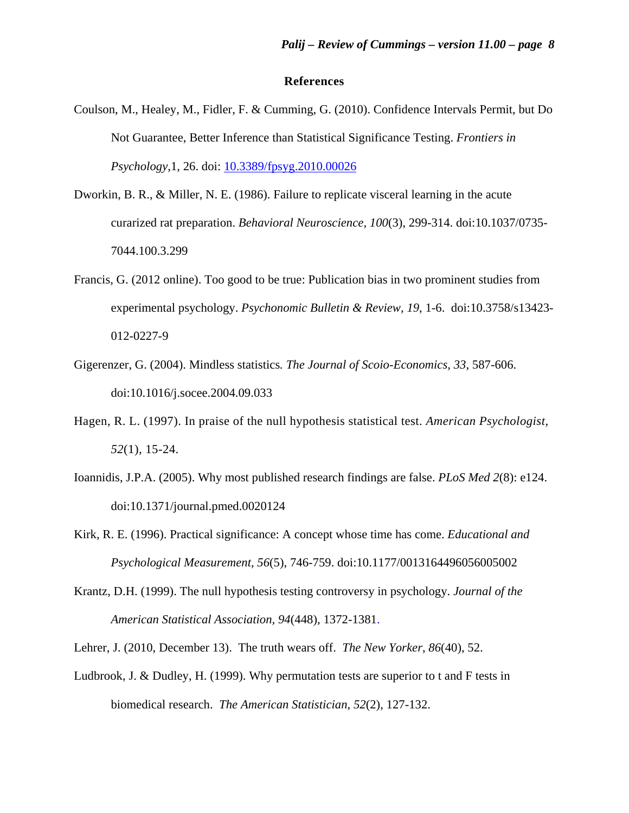### **References**

- Coulson, M., Healey, M., Fidler, F. & Cumming, G. (2010). Confidence Intervals Permit, but Do Not Guarantee, Better Inference than Statistical Significance Testing. *Frontiers in Psychology*,1, 26. doi: [10.3389/fpsyg.2010.00026](http://dx.crossref.org/10.3389%2Ffpsyg.2010.00026)
- Dworkin, B. R., & Miller, N. E. (1986). Failure to replicate visceral learning in the acute curarized rat preparation. *Behavioral Neuroscience, 100*(3), 299-314. doi:10.1037/0735- 7044.100.3.299
- Francis, G. (2012 online). Too good to be true: Publication bias in two prominent studies from experimental psychology. *Psychonomic Bulletin & Review, 19*, 1-6. doi:10.3758/s13423- 012-0227-9
- Gigerenzer, G. (2004). Mindless statistics*. The Journal of Scoio-Economics, 33*, 587-606. doi:10.1016/j.socee.2004.09.033
- Hagen, R. L. (1997). In praise of the null hypothesis statistical test. *American Psychologist, 52*(1), 15-24.
- Ioannidis, J.P.A. (2005). Why most published research findings are false. *PLoS Med 2*(8): e124. doi:10.1371/journal.pmed.0020124
- Kirk, R. E. (1996). Practical significance: A concept whose time has come. *Educational and Psychological Measurement, 56*(5), 746-759. doi:10.1177/0013164496056005002
- Krantz, D.H. (1999). The null hypothesis testing controversy in psychology. *Journal of the American Statistical Association, 94*(448), 1372-1381.
- Lehrer, J. (2010, December 13). The truth wears off. *The New Yorker*, *86*(40), 52.
- Ludbrook, J. & Dudley, H. (1999). Why permutation tests are superior to t and F tests in biomedical research. *The American Statistician*, *52*(2), 127-132.